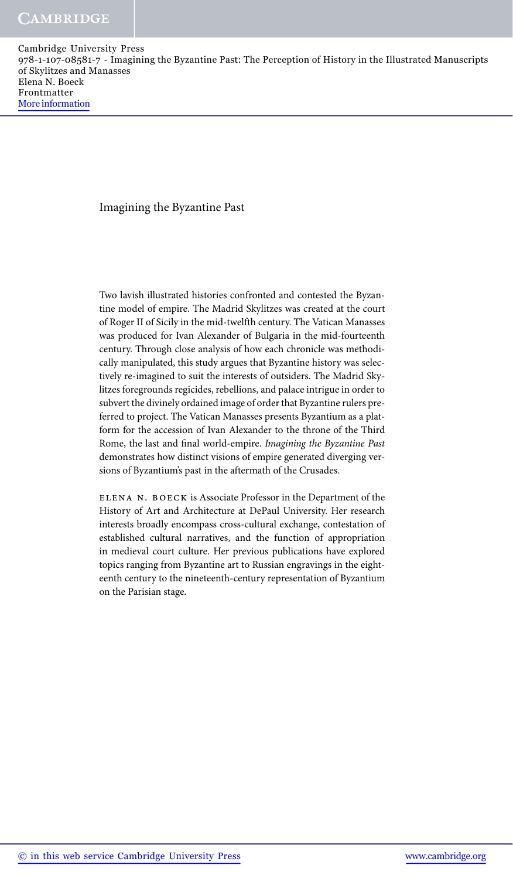#### Imagining the Byzantine Past

Two lavish illustrated histories confronted and contested the Byzantine model of empire. The Madrid Skylitzes was created at the court of Roger II of Sicily in the mid-twelfth century. The Vatican Manasses was produced for Ivan Alexander of Bulgaria in the mid-fourteenth century. Through close analysis of how each chronicle was methodically manipulated, this study argues that Byzantine history was selectively re-imagined to suit the interests of outsiders. The Madrid Skylitzes foregrounds regicides, rebellions, and palace intrigue in order to subvert the divinely ordained image of order that Byzantine rulers preferred to project. The Vatican Manasses presents Byzantium as a platform for the accession of Ivan Alexander to the throne of the Third Rome, the last and final world-empire. *Imagining the Byzantine Past* demonstrates how distinct visions of empire generated diverging versions of Byzantium's past in the aftermath of the Crusades.

elena n. boeck is Associate Professor in the Department of the History of Art and Architecture at DePaul University. Her research interests broadly encompass cross-cultural exchange, contestation of established cultural narratives, and the function of appropriation in medieval court culture. Her previous publications have explored topics ranging from Byzantine art to Russian engravings in the eighteenth century to the nineteenth-century representation of Byzantium on the Parisian stage.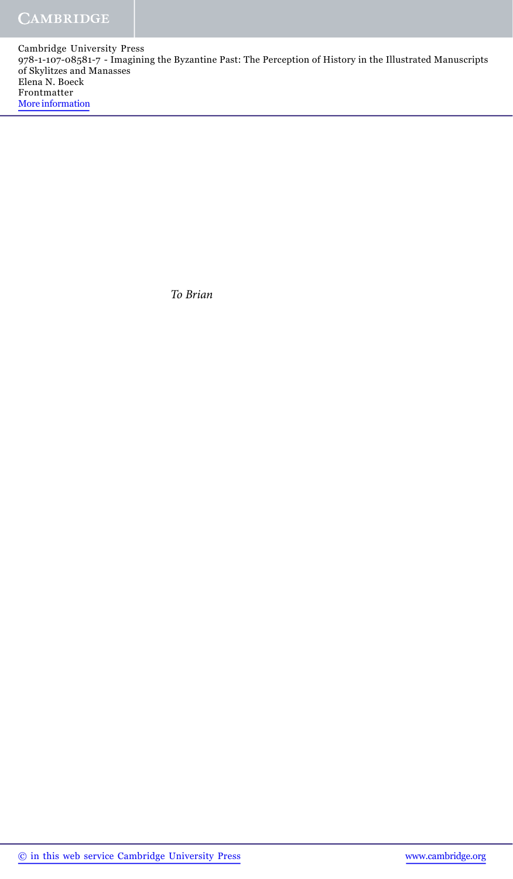*To Brian*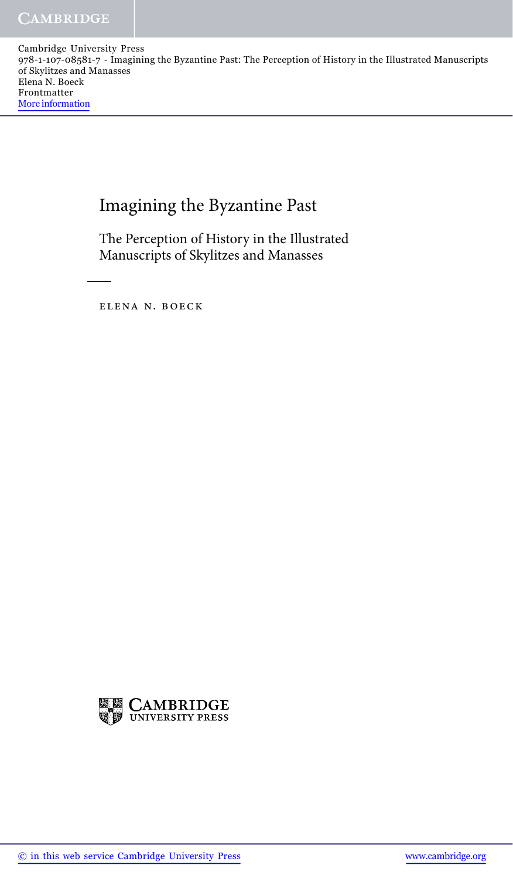# Imagining the Byzantine Past

The Perception of History in the Illustrated Manuscripts of Skylitzes and Manasses

elena n. boeck

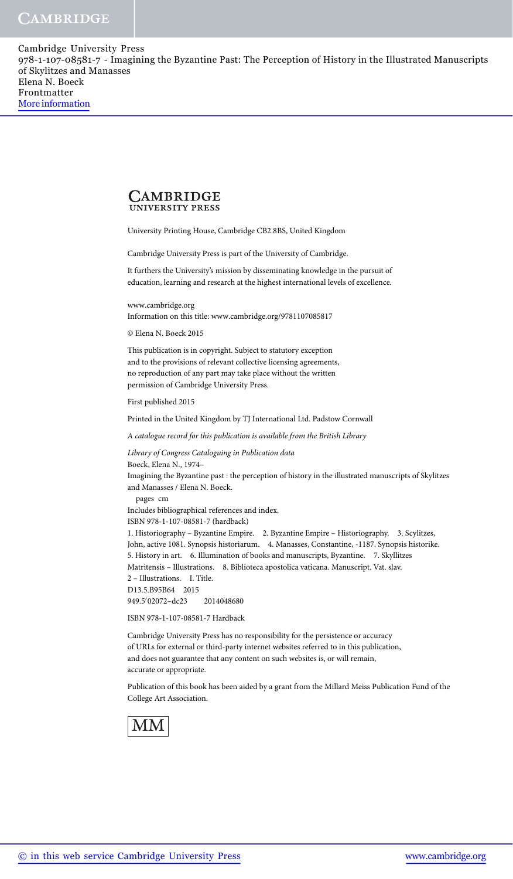

University Printing House, Cambridge CB2 8BS, United Kingdom

Cambridge University Press is part of the University of Cambridge.

It furthers the University's mission by disseminating knowledge in the pursuit of education, learning and research at the highest international levels of excellence.

www.cambridge.org Information on this title: www.cambridge.org/9781107085817

© Elena N. Boeck 2015

This publication is in copyright. Subject to statutory exception and to the provisions of relevant collective licensing agreements, no reproduction of any part may take place without the written permission of Cambridge University Press.

First published 2015

Printed in the United Kingdom by TJ International Ltd. Padstow Cornwall

*A catalogue record for this publication is available from the British Library*

*Library of Congress Cataloguing in Publication data*

Boeck, Elena N., 1974– Imagining the Byzantine past : the perception of history in the illustrated manuscripts of Skylitzes and Manasses / Elena N. Boeck. pages cm Includes bibliographical references and index. ISBN 978-1-107-08581-7 (hardback) 1. Historiography – Byzantine Empire. 2. Byzantine Empire – Historiography. 3. Scylitzes, John, active 1081. Synopsis historiarum. 4. Manasses, Constantine, -1187. Synopsis historike. 5. History in art. 6. Illumination of books and manuscripts, Byzantine. 7. Skyllitzes Matritensis – Illustrations. 8. Biblioteca apostolica vaticana. Manuscript. Vat. slav. 2 – Illustrations. I. Title. D13.5.B95B64 2015 949.5'02072-dc23 2014048680 ISBN 978-1-107-08581-7 Hardback

Cambridge University Press has no responsibility for the persistence or accuracy of URLs for external or third-party internet websites referred to in this publication, and does not guarantee that any content on such websites is, or will remain, accurate or appropriate.

Publication of this book has been aided by a grant from the Millard Meiss Publication Fund of the College Art Association.

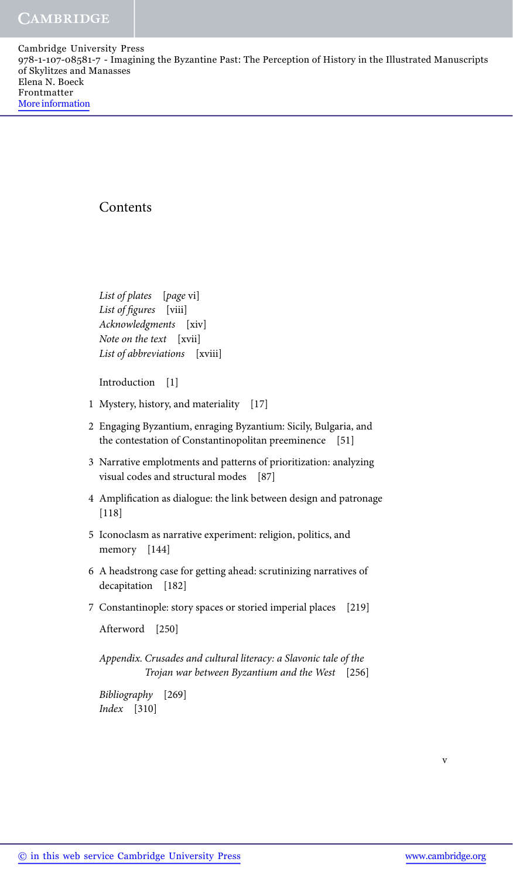## **Contents**

*List of plates* [*page* vi] *List of figures* [viii] *Acknowledgments* [xiv] *Note on the text* [xvii] *List of abbreviations* [xviii]

Introduction [1]

- 1 Mystery, history, and materiality [17]
- 2 Engaging Byzantium, enraging Byzantium: Sicily, Bulgaria, and the contestation of Constantinopolitan preeminence [51]
- 3 Narrative emplotments and patterns of prioritization: analyzing visual codes and structural modes [87]
- 4 Amplification as dialogue: the link between design and patronage [118]
- 5 Iconoclasm as narrative experiment: religion, politics, and memory [144]
- 6 A headstrong case for getting ahead: scrutinizing narratives of decapitation [182]
- 7 Constantinople: story spaces or storied imperial places [219]

Afterword [250]

*Appendix. Crusades and cultural literacy: a Slavonic tale of the Trojan war between Byzantium and the West* [256]

*Bibliography* [269] *Index* [310]

v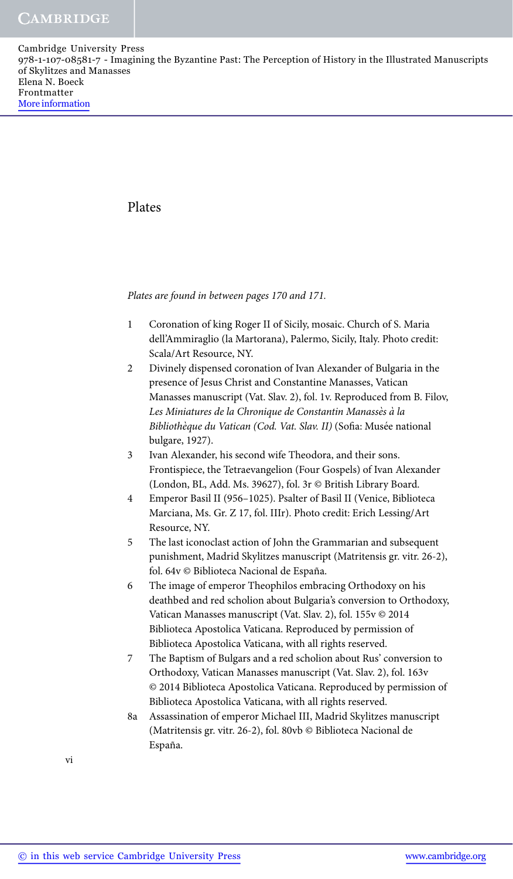Plates

*Plates are found in between pages 170 and 171.*

- 1 Coronation of king Roger II of Sicily, mosaic. Church of S. Maria dell'Ammiraglio (la Martorana), Palermo, Sicily, Italy. Photo credit: Scala/Art Resource, NY.
- 2 Divinely dispensed coronation of Ivan Alexander of Bulgaria in the presence of Jesus Christ and Constantine Manasses, Vatican Manasses manuscript (Vat. Slav. 2), fol. 1v. Reproduced from B. Filov, *Les Miniatures de la Chronique de Constantin Manasses` a la ` Bibliothèque du Vatican (Cod. Vat. Slav. II)* (Sofia: Musée national bulgare, 1927).
- 3 Ivan Alexander, his second wife Theodora, and their sons. Frontispiece, the Tetraevangelion (Four Gospels) of Ivan Alexander (London, BL, Add. Ms. 39627), fol. 3r © British Library Board.
- 4 Emperor Basil II (956–1025). Psalter of Basil II (Venice, Biblioteca Marciana, Ms. Gr. Z 17, fol. IIIr). Photo credit: Erich Lessing/Art Resource, NY.
- 5 The last iconoclast action of John the Grammarian and subsequent punishment, Madrid Skylitzes manuscript (Matritensis gr. vitr. 26-2), fol. 64v © Biblioteca Nacional de España.
- 6 The image of emperor Theophilos embracing Orthodoxy on his deathbed and red scholion about Bulgaria's conversion to Orthodoxy, Vatican Manasses manuscript (Vat. Slav. 2), fol. 155v © 2014 Biblioteca Apostolica Vaticana. Reproduced by permission of Biblioteca Apostolica Vaticana, with all rights reserved.
- 7 The Baptism of Bulgars and a red scholion about Rus' conversion to Orthodoxy, Vatican Manasses manuscript (Vat. Slav. 2), fol. 163v © 2014 Biblioteca Apostolica Vaticana. Reproduced by permission of Biblioteca Apostolica Vaticana, with all rights reserved.
- 8a Assassination of emperor Michael III, Madrid Skylitzes manuscript (Matritensis gr. vitr. 26-2), fol. 80vb © Biblioteca Nacional de España.

vi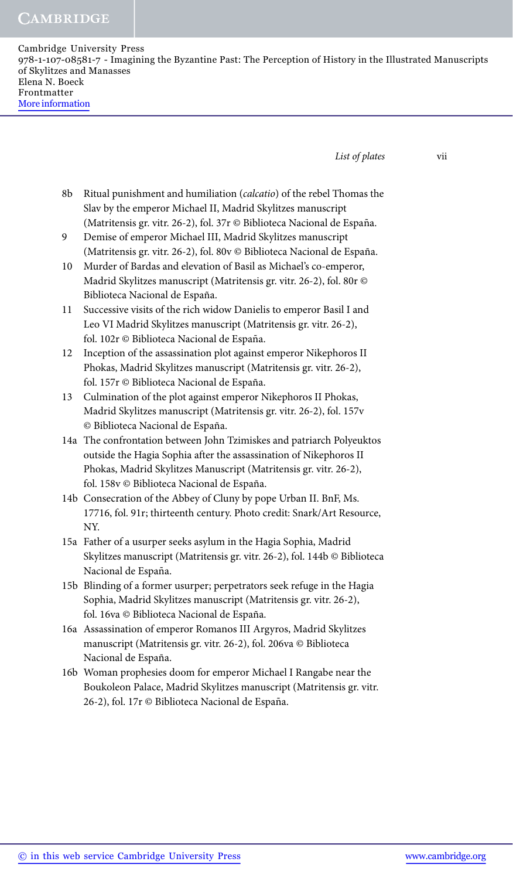**CAMBRIDGE** 

Cambridge University Press 978-1-107-08581-7 - Imagining the Byzantine Past: The Perception of History in the Illustrated Manuscripts of Skylitzes and Manasses Elena N. Boeck Frontmatter More information

*List of plates* vii

- 8b Ritual punishment and humiliation (*calcatio*) of the rebel Thomas the Slav by the emperor Michael II, Madrid Skylitzes manuscript (Matritensis gr. vitr. 26-2), fol. 37r © Biblioteca Nacional de España.
- 9 Demise of emperor Michael III, Madrid Skylitzes manuscript (Matritensis gr. vitr. 26-2), fol. 80v © Biblioteca Nacional de España.
- 10 Murder of Bardas and elevation of Basil as Michael's co-emperor, Madrid Skylitzes manuscript (Matritensis gr. vitr. 26-2), fol. 80r © Biblioteca Nacional de España.
- 11 Successive visits of the rich widow Danielis to emperor Basil I and Leo VI Madrid Skylitzes manuscript (Matritensis gr. vitr. 26-2), fol. 102r © Biblioteca Nacional de España.
- 12 Inception of the assassination plot against emperor Nikephoros II Phokas, Madrid Skylitzes manuscript (Matritensis gr. vitr. 26-2), fol. 157r © Biblioteca Nacional de España.
- 13 Culmination of the plot against emperor Nikephoros II Phokas, Madrid Skylitzes manuscript (Matritensis gr. vitr. 26-2), fol. 157v © Biblioteca Nacional de Espana. ˜
- 14a The confrontation between John Tzimiskes and patriarch Polyeuktos outside the Hagia Sophia after the assassination of Nikephoros II Phokas, Madrid Skylitzes Manuscript (Matritensis gr. vitr. 26-2), fol. 158v © Biblioteca Nacional de España.
- 14b Consecration of the Abbey of Cluny by pope Urban II. BnF, Ms. 17716, fol. 91r; thirteenth century. Photo credit: Snark/Art Resource, NY.
- 15a Father of a usurper seeks asylum in the Hagia Sophia, Madrid Skylitzes manuscript (Matritensis gr. vitr. 26-2), fol. 144b © Biblioteca Nacional de España.
- 15b Blinding of a former usurper; perpetrators seek refuge in the Hagia Sophia, Madrid Skylitzes manuscript (Matritensis gr. vitr. 26-2), fol. 16va © Biblioteca Nacional de España.
- 16a Assassination of emperor Romanos III Argyros, Madrid Skylitzes manuscript (Matritensis gr. vitr. 26-2), fol. 206va © Biblioteca Nacional de España.
- 16b Woman prophesies doom for emperor Michael I Rangabe near the Boukoleon Palace, Madrid Skylitzes manuscript (Matritensis gr. vitr. 26-2), fol. 17r © Biblioteca Nacional de España.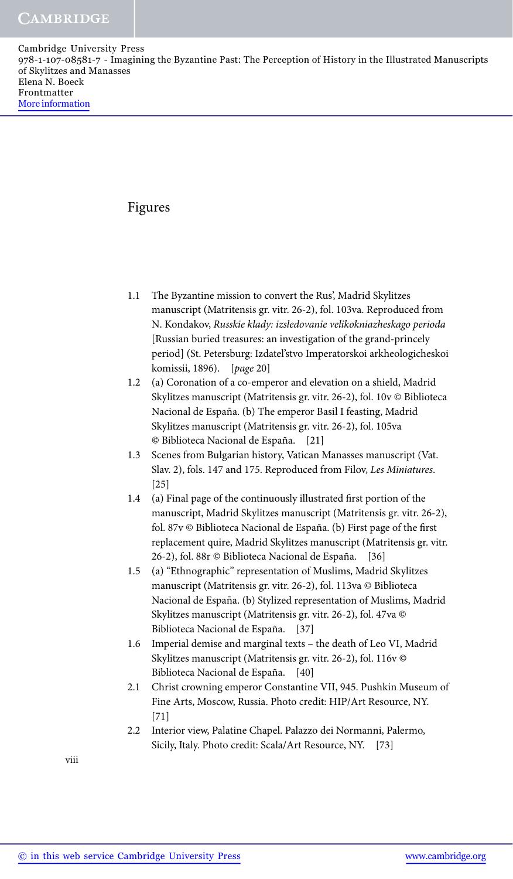### Figures

- 1.1 The Byzantine mission to convert the Rus', Madrid Skylitzes manuscript (Matritensis gr. vitr. 26-2), fol. 103va. Reproduced from N. Kondakov, *Russkie klady: izsledovanie velikokniazheskago perioda* [Russian buried treasures: an investigation of the grand-princely period] (St. Petersburg: Izdatel'stvo Imperatorskoi arkheologicheskoi komissii, 1896). [*page* 20]
- 1.2 (a) Coronation of a co-emperor and elevation on a shield, Madrid Skylitzes manuscript (Matritensis gr. vitr. 26-2), fol. 10v © Biblioteca Nacional de España. (b) The emperor Basil I feasting, Madrid Skylitzes manuscript (Matritensis gr. vitr. 26-2), fol. 105va © Biblioteca Nacional de España. [21]
- 1.3 Scenes from Bulgarian history, Vatican Manasses manuscript (Vat. Slav. 2), fols. 147 and 175. Reproduced from Filov, *Les Miniatures*. [25]
- 1.4 (a) Final page of the continuously illustrated first portion of the manuscript, Madrid Skylitzes manuscript (Matritensis gr. vitr. 26-2), fol. 87v © Biblioteca Nacional de España. (b) First page of the first replacement quire, Madrid Skylitzes manuscript (Matritensis gr. vitr. 26-2), fol. 88r © Biblioteca Nacional de España. [36]
- 1.5 (a) "Ethnographic" representation of Muslims, Madrid Skylitzes manuscript (Matritensis gr. vitr. 26-2), fol. 113va © Biblioteca Nacional de España. (b) Stylized representation of Muslims, Madrid Skylitzes manuscript (Matritensis gr. vitr. 26-2), fol. 47va © Biblioteca Nacional de España. [37]
- 1.6 Imperial demise and marginal texts the death of Leo VI, Madrid Skylitzes manuscript (Matritensis gr. vitr. 26-2), fol. 116v © Biblioteca Nacional de España. [40]
- 2.1 Christ crowning emperor Constantine VII, 945. Pushkin Museum of Fine Arts, Moscow, Russia. Photo credit: HIP/Art Resource, NY. [71]
- 2.2 Interior view, Palatine Chapel. Palazzo dei Normanni, Palermo, Sicily, Italy. Photo credit: Scala/Art Resource, NY. [73]

viii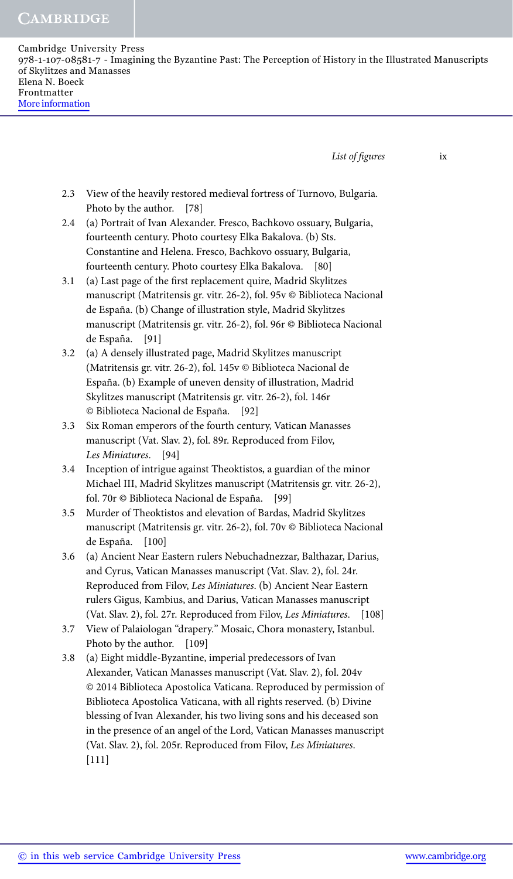**CAMBRIDGE** 

Cambridge University Press 978-1-107-08581-7 - Imagining the Byzantine Past: The Perception of History in the Illustrated Manuscripts of Skylitzes and Manasses Elena N. Boeck Frontmatter More information

*List of figures* ix

- 2.3 View of the heavily restored medieval fortress of Turnovo, Bulgaria. Photo by the author. [78]
- 2.4 (a) Portrait of Ivan Alexander. Fresco, Bachkovo ossuary, Bulgaria, fourteenth century. Photo courtesy Elka Bakalova. (b) Sts. Constantine and Helena. Fresco, Bachkovo ossuary, Bulgaria, fourteenth century. Photo courtesy Elka Bakalova. [80]
- 3.1 (a) Last page of the first replacement quire, Madrid Skylitzes manuscript (Matritensis gr. vitr. 26-2), fol. 95v © Biblioteca Nacional de España. (b) Change of illustration style, Madrid Skylitzes manuscript (Matritensis gr. vitr. 26-2), fol. 96r © Biblioteca Nacional de España. [91]
- 3.2 (a) A densely illustrated page, Madrid Skylitzes manuscript (Matritensis gr. vitr. 26-2), fol. 145v © Biblioteca Nacional de España. (b) Example of uneven density of illustration, Madrid Skylitzes manuscript (Matritensis gr. vitr. 26-2), fol. 146r © Biblioteca Nacional de España. [92]
- 3.3 Six Roman emperors of the fourth century, Vatican Manasses manuscript (Vat. Slav. 2), fol. 89r. Reproduced from Filov, *Les Miniatures*. [94]
- 3.4 Inception of intrigue against Theoktistos, a guardian of the minor Michael III, Madrid Skylitzes manuscript (Matritensis gr. vitr. 26-2), fol. 70r © Biblioteca Nacional de España. [99]
- 3.5 Murder of Theoktistos and elevation of Bardas, Madrid Skylitzes manuscript (Matritensis gr. vitr. 26-2), fol. 70v © Biblioteca Nacional de España. [100]
- 3.6 (a) Ancient Near Eastern rulers Nebuchadnezzar, Balthazar, Darius, and Cyrus, Vatican Manasses manuscript (Vat. Slav. 2), fol. 24r. Reproduced from Filov, *Les Miniatures*. (b) Ancient Near Eastern rulers Gigus, Kambius, and Darius, Vatican Manasses manuscript (Vat. Slav. 2), fol. 27r. Reproduced from Filov, *Les Miniatures*. [108]
- 3.7 View of Palaiologan "drapery." Mosaic, Chora monastery, Istanbul. Photo by the author. [109]
- 3.8 (a) Eight middle-Byzantine, imperial predecessors of Ivan Alexander, Vatican Manasses manuscript (Vat. Slav. 2), fol. 204v © 2014 Biblioteca Apostolica Vaticana. Reproduced by permission of Biblioteca Apostolica Vaticana, with all rights reserved. (b) Divine blessing of Ivan Alexander, his two living sons and his deceased son in the presence of an angel of the Lord, Vatican Manasses manuscript (Vat. Slav. 2), fol. 205r. Reproduced from Filov, *Les Miniatures*. [111]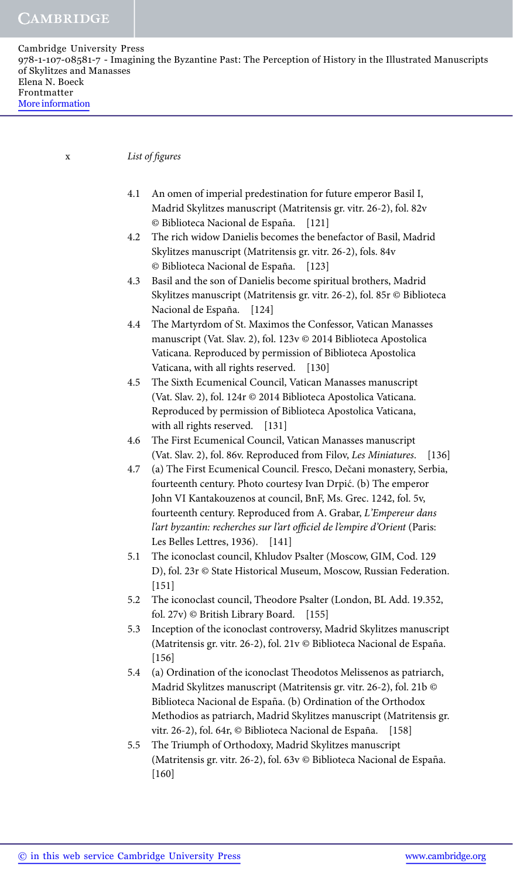x *List of figures*

- 4.1 An omen of imperial predestination for future emperor Basil I, Madrid Skylitzes manuscript (Matritensis gr. vitr. 26-2), fol. 82v © Biblioteca Nacional de España. [121]
- 4.2 The rich widow Danielis becomes the benefactor of Basil, Madrid Skylitzes manuscript (Matritensis gr. vitr. 26-2), fols. 84v © Biblioteca Nacional de España. [123]
- 4.3 Basil and the son of Danielis become spiritual brothers, Madrid Skylitzes manuscript (Matritensis gr. vitr. 26-2), fol. 85r © Biblioteca Nacional de España. [124]
- 4.4 The Martyrdom of St. Maximos the Confessor, Vatican Manasses manuscript (Vat. Slav. 2), fol. 123v © 2014 Biblioteca Apostolica Vaticana. Reproduced by permission of Biblioteca Apostolica Vaticana, with all rights reserved. [130]
- 4.5 The Sixth Ecumenical Council, Vatican Manasses manuscript (Vat. Slav. 2), fol. 124r © 2014 Biblioteca Apostolica Vaticana. Reproduced by permission of Biblioteca Apostolica Vaticana, with all rights reserved. [131]
- 4.6 The First Ecumenical Council, Vatican Manasses manuscript (Vat. Slav. 2), fol. 86v. Reproduced from Filov, *Les Miniatures*. [136]
- 4.7 (a) The First Ecumenical Council. Fresco, Dečani monastery, Serbia, fourteenth century. Photo courtesy Ivan Drpić. (b) The emperor John VI Kantakouzenos at council, BnF, Ms. Grec. 1242, fol. 5v, fourteenth century. Reproduced from A. Grabar, *L'Empereur dans l'art byzantin: recherches sur l'art officiel de l'empire d'Orient* (Paris: Les Belles Lettres, 1936). [141]
- 5.1 The iconoclast council, Khludov Psalter (Moscow, GIM, Cod. 129 D), fol. 23r © State Historical Museum, Moscow, Russian Federation. [151]
- 5.2 The iconoclast council, Theodore Psalter (London, BL Add. 19.352, fol. 27v) © British Library Board. [155]
- 5.3 Inception of the iconoclast controversy, Madrid Skylitzes manuscript (Matritensis gr. vitr. 26-2), fol. 21v © Biblioteca Nacional de España. [156]
- 5.4 (a) Ordination of the iconoclast Theodotos Melissenos as patriarch, Madrid Skylitzes manuscript (Matritensis gr. vitr. 26-2), fol. 21b © Biblioteca Nacional de España. (b) Ordination of the Orthodox Methodios as patriarch, Madrid Skylitzes manuscript (Matritensis gr. vitr. 26-2), fol. 64r, © Biblioteca Nacional de España. [158]
- 5.5 The Triumph of Orthodoxy, Madrid Skylitzes manuscript (Matritensis gr. vitr. 26-2), fol. 63v © Biblioteca Nacional de España. [160]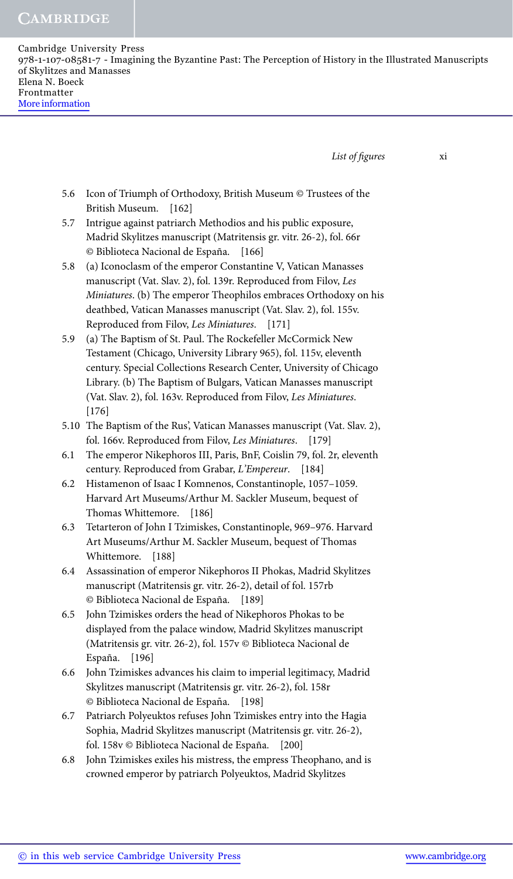**CAMBRIDGE** 

| Cambridge University Press                                                                                 |
|------------------------------------------------------------------------------------------------------------|
| 978-1-107-08581-7 - Imagining the Byzantine Past: The Perception of History in the Illustrated Manuscripts |
| of Skylitzes and Manasses                                                                                  |
| Elena N. Boeck                                                                                             |
| Frontmatter                                                                                                |
| More information                                                                                           |
|                                                                                                            |

*List of figures* xi

- 5.6 Icon of Triumph of Orthodoxy, British Museum © Trustees of the British Museum. [162]
- 5.7 Intrigue against patriarch Methodios and his public exposure, Madrid Skylitzes manuscript (Matritensis gr. vitr. 26-2), fol. 66r © Biblioteca Nacional de España. [166]
- 5.8 (a) Iconoclasm of the emperor Constantine V, Vatican Manasses manuscript (Vat. Slav. 2), fol. 139r. Reproduced from Filov, *Les Miniatures*. (b) The emperor Theophilos embraces Orthodoxy on his deathbed, Vatican Manasses manuscript (Vat. Slav. 2), fol. 155v. Reproduced from Filov, *Les Miniatures*. [171]
- 5.9 (a) The Baptism of St. Paul. The Rockefeller McCormick New Testament (Chicago, University Library 965), fol. 115v, eleventh century. Special Collections Research Center, University of Chicago Library. (b) The Baptism of Bulgars, Vatican Manasses manuscript (Vat. Slav. 2), fol. 163v. Reproduced from Filov, *Les Miniatures*. [176]
- 5.10 The Baptism of the Rus', Vatican Manasses manuscript (Vat. Slav. 2), fol. 166v. Reproduced from Filov, *Les Miniatures*. [179]
- 6.1 The emperor Nikephoros III, Paris, BnF, Coislin 79, fol. 2r, eleventh century. Reproduced from Grabar, *L'Empereur*. [184]
- 6.2 Histamenon of Isaac I Komnenos, Constantinople, 1057–1059. Harvard Art Museums/Arthur M. Sackler Museum, bequest of Thomas Whittemore. [186]
- 6.3 Tetarteron of John I Tzimiskes, Constantinople, 969–976. Harvard Art Museums/Arthur M. Sackler Museum, bequest of Thomas Whittemore. [188]
- 6.4 Assassination of emperor Nikephoros II Phokas, Madrid Skylitzes manuscript (Matritensis gr. vitr. 26-2), detail of fol. 157rb © Biblioteca Nacional de España. [189]
- 6.5 John Tzimiskes orders the head of Nikephoros Phokas to be displayed from the palace window, Madrid Skylitzes manuscript (Matritensis gr. vitr. 26-2), fol. 157v © Biblioteca Nacional de España. [196]
- 6.6 John Tzimiskes advances his claim to imperial legitimacy, Madrid Skylitzes manuscript (Matritensis gr. vitr. 26-2), fol. 158r © Biblioteca Nacional de España. [198]
- 6.7 Patriarch Polyeuktos refuses John Tzimiskes entry into the Hagia Sophia, Madrid Skylitzes manuscript (Matritensis gr. vitr. 26-2), fol. 158v © Biblioteca Nacional de España. [200]
- 6.8 John Tzimiskes exiles his mistress, the empress Theophano, and is crowned emperor by patriarch Polyeuktos, Madrid Skylitzes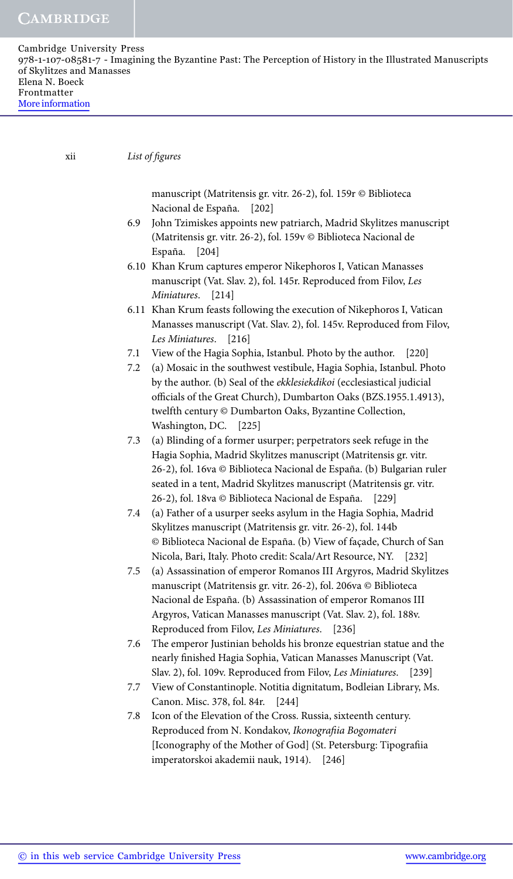| Cambridge University Press<br>978-1-107-08581-7 - Imagining the Byzantine Past: The Perception of History in the Illustrated Manuscripts |  |
|------------------------------------------------------------------------------------------------------------------------------------------|--|
| of Skylitzes and Manasses<br>Elena N. Boeck                                                                                              |  |
| Frontmatter<br>More information                                                                                                          |  |

xii *List of figures*

manuscript (Matritensis gr. vitr. 26-2), fol. 159r © Biblioteca Nacional de España. [202]

- 6.9 John Tzimiskes appoints new patriarch, Madrid Skylitzes manuscript (Matritensis gr. vitr. 26-2), fol. 159v © Biblioteca Nacional de España. [204]
- 6.10 Khan Krum captures emperor Nikephoros I, Vatican Manasses manuscript (Vat. Slav. 2), fol. 145r. Reproduced from Filov, *Les Miniatures*. [214]
- 6.11 Khan Krum feasts following the execution of Nikephoros I, Vatican Manasses manuscript (Vat. Slav. 2), fol. 145v. Reproduced from Filov, *Les Miniatures*. [216]
- 7.1 View of the Hagia Sophia, Istanbul. Photo by the author. [220]
- 7.2 (a) Mosaic in the southwest vestibule, Hagia Sophia, Istanbul. Photo by the author. (b) Seal of the *ekklesiekdikoi* (ecclesiastical judicial officials of the Great Church), Dumbarton Oaks (BZS.1955.1.4913), twelfth century © Dumbarton Oaks, Byzantine Collection, Washington, DC. [225]
- 7.3 (a) Blinding of a former usurper; perpetrators seek refuge in the Hagia Sophia, Madrid Skylitzes manuscript (Matritensis gr. vitr. 26-2), fol. 16va © Biblioteca Nacional de España. (b) Bulgarian ruler seated in a tent, Madrid Skylitzes manuscript (Matritensis gr. vitr. 26-2), fol. 18va © Biblioteca Nacional de España. [229]
- 7.4 (a) Father of a usurper seeks asylum in the Hagia Sophia, Madrid Skylitzes manuscript (Matritensis gr. vitr. 26-2), fol. 144b © Biblioteca Nacional de España. (b) View of façade, Church of San Nicola, Bari, Italy. Photo credit: Scala/Art Resource, NY. [232]
- 7.5 (a) Assassination of emperor Romanos III Argyros, Madrid Skylitzes manuscript (Matritensis gr. vitr. 26-2), fol. 206va © Biblioteca Nacional de España. (b) Assassination of emperor Romanos III Argyros, Vatican Manasses manuscript (Vat. Slav. 2), fol. 188v. Reproduced from Filov, *Les Miniatures*. [236]
- 7.6 The emperor Justinian beholds his bronze equestrian statue and the nearly finished Hagia Sophia, Vatican Manasses Manuscript (Vat. Slav. 2), fol. 109v. Reproduced from Filov, *Les Miniatures*. [239]
- 7.7 View of Constantinople. Notitia dignitatum, Bodleian Library, Ms. Canon. Misc. 378, fol. 84r. [244]
- 7.8 Icon of the Elevation of the Cross. Russia, sixteenth century. Reproduced from N. Kondakov, *Ikonografiia Bogomateri* [Iconography of the Mother of God] (St. Petersburg: Tipografiia imperatorskoi akademii nauk, 1914). [246]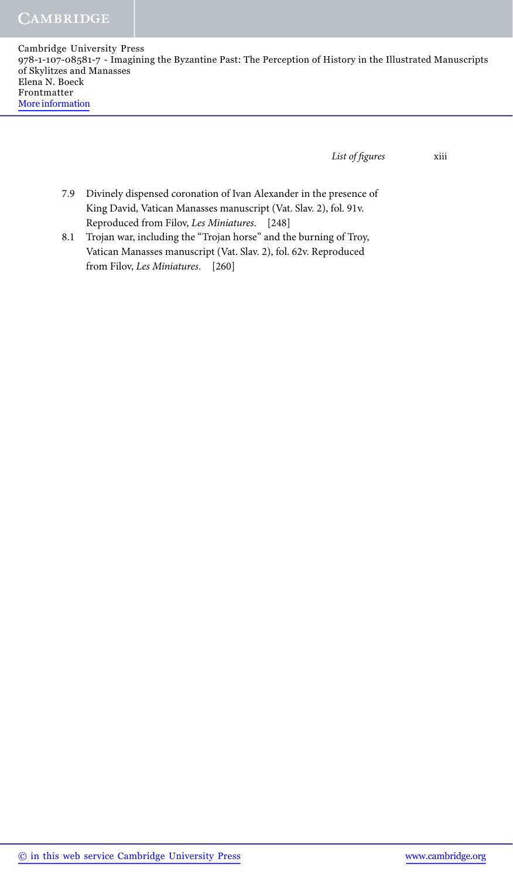*List of figures* xiii

- 7.9 Divinely dispensed coronation of Ivan Alexander in the presence of King David, Vatican Manasses manuscript (Vat. Slav. 2), fol. 91v. Reproduced from Filov, *Les Miniatures*. [248]
- 8.1 Trojan war, including the "Trojan horse" and the burning of Troy, Vatican Manasses manuscript (Vat. Slav. 2), fol. 62v. Reproduced from Filov, *Les Miniatures*. [260]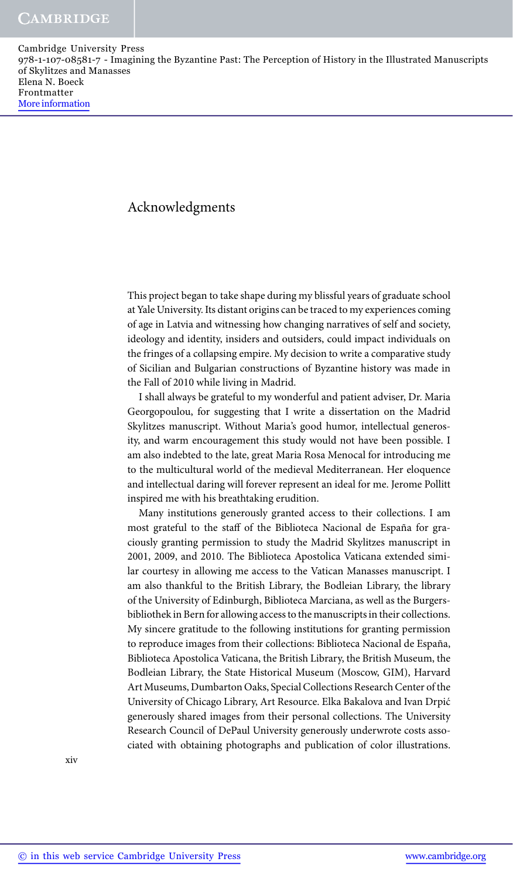## Acknowledgments

This project began to take shape during my blissful years of graduate school at Yale University. Its distant origins can be traced to my experiences coming of age in Latvia and witnessing how changing narratives of self and society, ideology and identity, insiders and outsiders, could impact individuals on the fringes of a collapsing empire. My decision to write a comparative study of Sicilian and Bulgarian constructions of Byzantine history was made in the Fall of 2010 while living in Madrid.

I shall always be grateful to my wonderful and patient adviser, Dr. Maria Georgopoulou, for suggesting that I write a dissertation on the Madrid Skylitzes manuscript. Without Maria's good humor, intellectual generosity, and warm encouragement this study would not have been possible. I am also indebted to the late, great Maria Rosa Menocal for introducing me to the multicultural world of the medieval Mediterranean. Her eloquence and intellectual daring will forever represent an ideal for me. Jerome Pollitt inspired me with his breathtaking erudition.

Many institutions generously granted access to their collections. I am most grateful to the staff of the Biblioteca Nacional de España for graciously granting permission to study the Madrid Skylitzes manuscript in 2001, 2009, and 2010. The Biblioteca Apostolica Vaticana extended similar courtesy in allowing me access to the Vatican Manasses manuscript. I am also thankful to the British Library, the Bodleian Library, the library of the University of Edinburgh, Biblioteca Marciana, as well as the Burgersbibliothek in Bern for allowing access to the manuscripts in their collections. My sincere gratitude to the following institutions for granting permission to reproduce images from their collections: Biblioteca Nacional de España, Biblioteca Apostolica Vaticana, the British Library, the British Museum, the Bodleian Library, the State Historical Museum (Moscow, GIM), Harvard Art Museums, Dumbarton Oaks, Special Collections Research Center of the University of Chicago Library, Art Resource. Elka Bakalova and Ivan Drpic´ generously shared images from their personal collections. The University Research Council of DePaul University generously underwrote costs associated with obtaining photographs and publication of color illustrations.

xiv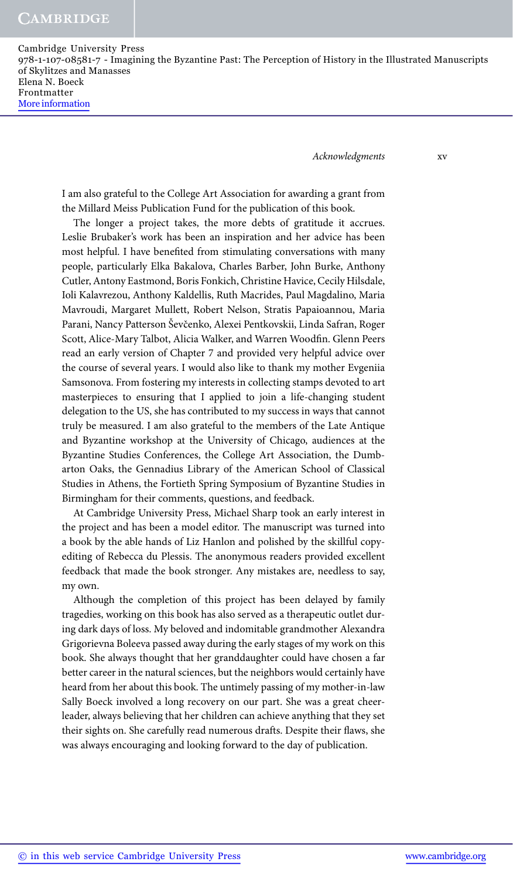*Acknowledgments* xv

I am also grateful to the College Art Association for awarding a grant from the Millard Meiss Publication Fund for the publication of this book.

The longer a project takes, the more debts of gratitude it accrues. Leslie Brubaker's work has been an inspiration and her advice has been most helpful. I have benefited from stimulating conversations with many people, particularly Elka Bakalova, Charles Barber, John Burke, Anthony Cutler, Antony Eastmond, Boris Fonkich, Christine Havice, Cecily Hilsdale, Ioli Kalavrezou, Anthony Kaldellis, Ruth Macrides, Paul Magdalino, Maria Mavroudi, Margaret Mullett, Robert Nelson, Stratis Papaioannou, Maria Parani, Nancy Patterson Ševčenko, Alexei Pentkovskii, Linda Safran, Roger Scott, Alice-Mary Talbot, Alicia Walker, and Warren Woodfin. Glenn Peers read an early version of Chapter 7 and provided very helpful advice over the course of several years. I would also like to thank my mother Evgeniia Samsonova. From fostering my interests in collecting stamps devoted to art masterpieces to ensuring that I applied to join a life-changing student delegation to the US, she has contributed to my success in ways that cannot truly be measured. I am also grateful to the members of the Late Antique and Byzantine workshop at the University of Chicago, audiences at the Byzantine Studies Conferences, the College Art Association, the Dumbarton Oaks, the Gennadius Library of the American School of Classical Studies in Athens, the Fortieth Spring Symposium of Byzantine Studies in Birmingham for their comments, questions, and feedback.

At Cambridge University Press, Michael Sharp took an early interest in the project and has been a model editor. The manuscript was turned into a book by the able hands of Liz Hanlon and polished by the skillful copyediting of Rebecca du Plessis. The anonymous readers provided excellent feedback that made the book stronger. Any mistakes are, needless to say, my own.

Although the completion of this project has been delayed by family tragedies, working on this book has also served as a therapeutic outlet during dark days of loss. My beloved and indomitable grandmother Alexandra Grigorievna Boleeva passed away during the early stages of my work on this book. She always thought that her granddaughter could have chosen a far better career in the natural sciences, but the neighbors would certainly have heard from her about this book. The untimely passing of my mother-in-law Sally Boeck involved a long recovery on our part. She was a great cheerleader, always believing that her children can achieve anything that they set their sights on. She carefully read numerous drafts. Despite their flaws, she was always encouraging and looking forward to the day of publication.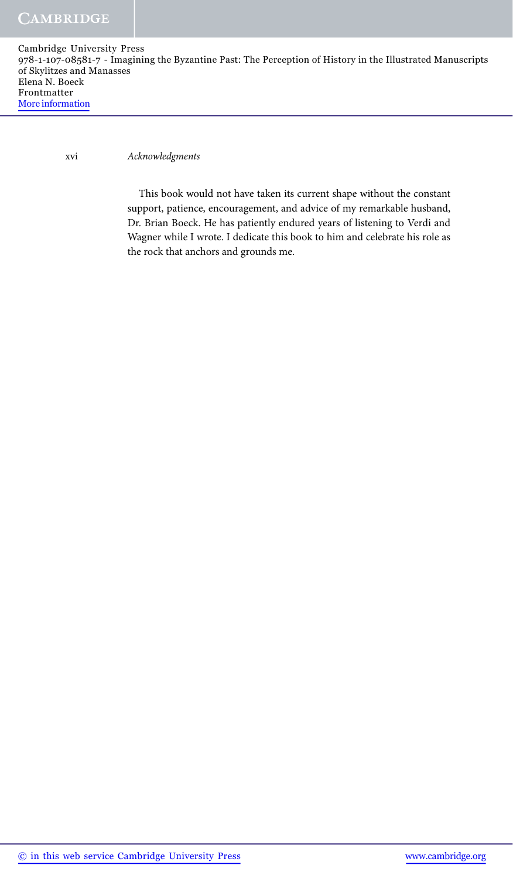xvi *Acknowledgments*

This book would not have taken its current shape without the constant support, patience, encouragement, and advice of my remarkable husband, Dr. Brian Boeck. He has patiently endured years of listening to Verdi and Wagner while I wrote. I dedicate this book to him and celebrate his role as the rock that anchors and grounds me.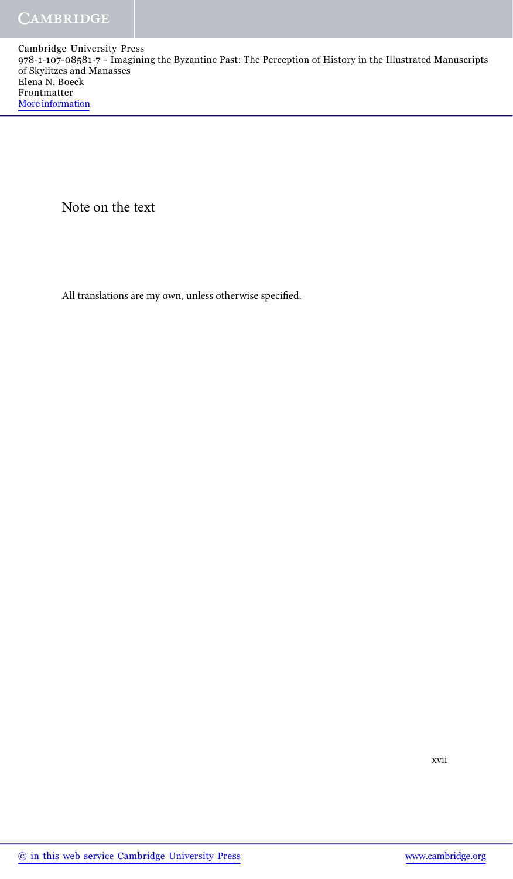Note on the text

All translations are my own, unless otherwise specified.

xvii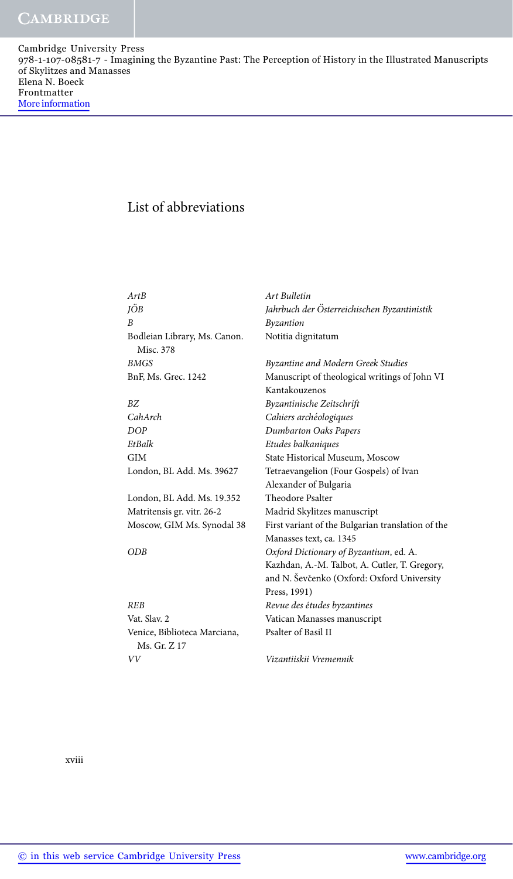## List of abbreviations

| ArtB                                         | <b>Art Bulletin</b>                                                                                         |
|----------------------------------------------|-------------------------------------------------------------------------------------------------------------|
| JÖB                                          | Jahrbuch der Österreichischen Byzantinistik                                                                 |
| B                                            | Byzantion                                                                                                   |
| Bodleian Library, Ms. Canon.<br>Misc. 378    | Notitia dignitatum                                                                                          |
| BMGS                                         | Byzantine and Modern Greek Studies                                                                          |
| BnF, Ms. Grec. 1242                          | Manuscript of theological writings of John VI<br>Kantakouzenos                                              |
| ΒZ                                           | Byzantinische Zeitschrift                                                                                   |
| CahArch                                      | Cahiers archéologiques                                                                                      |
| DOP                                          | <b>Dumbarton Oaks Papers</b>                                                                                |
| EtBalk                                       | Etudes balkaniques                                                                                          |
| GIM                                          | State Historical Museum, Moscow                                                                             |
| London, BL Add. Ms. 39627                    | Tetraevangelion (Four Gospels) of Ivan                                                                      |
|                                              | Alexander of Bulgaria                                                                                       |
| London, BL Add. Ms. 19.352                   | Theodore Psalter                                                                                            |
| Matritensis gr. vitr. 26-2                   | Madrid Skylitzes manuscript                                                                                 |
| Moscow, GIM Ms. Synodal 38                   | First variant of the Bulgarian translation of the<br>Manasses text, ca. 1345                                |
| ODB                                          | Oxford Dictionary of Byzantium, ed. A.                                                                      |
|                                              | Kazhdan, A.-M. Talbot, A. Cutler, T. Gregory,<br>and N. Ševčenko (Oxford: Oxford University<br>Press, 1991) |
| REB                                          | Revue des études byzantines                                                                                 |
| Vat. Slav. 2                                 | Vatican Manasses manuscript                                                                                 |
| Venice, Biblioteca Marciana,<br>Ms. Gr. Z 17 | Psalter of Basil II                                                                                         |
| VV                                           | Vizantiiskii Vremennik                                                                                      |
|                                              |                                                                                                             |

xviii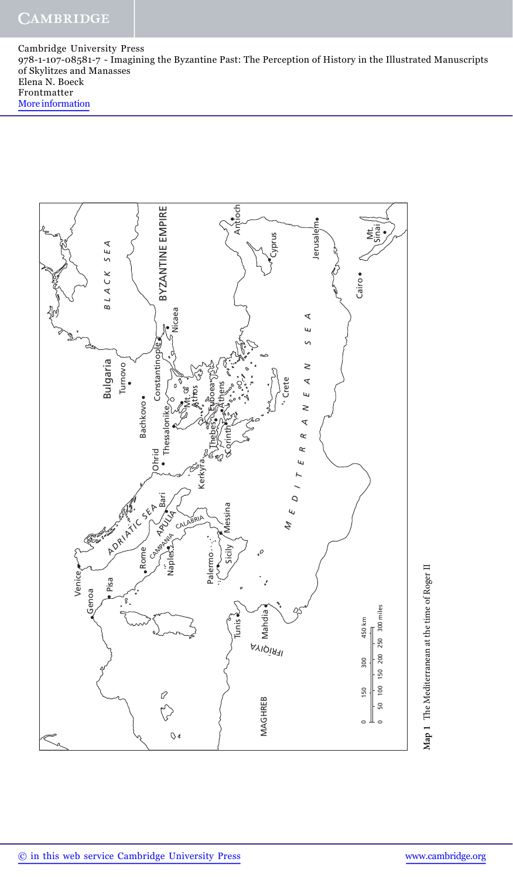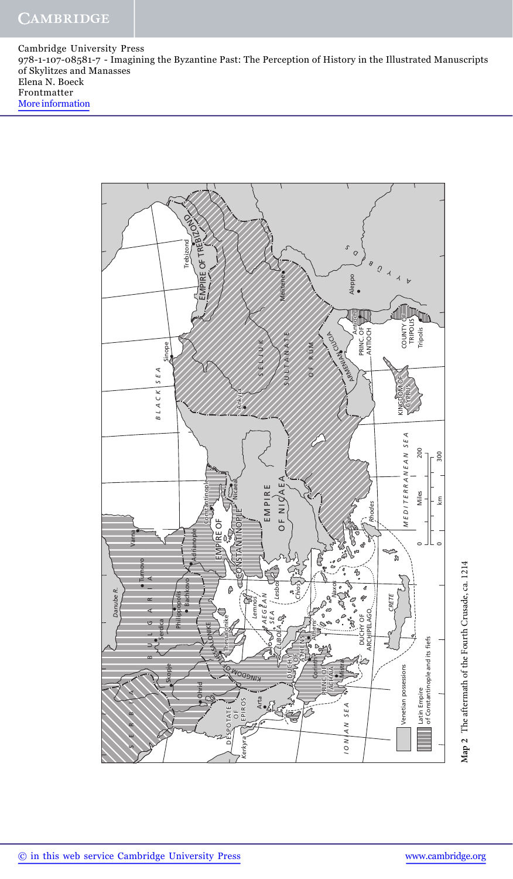

Map 2 The aftermath of the Fourth Crusade, ca. 1214 **Map 2** The aftermath of the Fourth Crusade, ca. 1214